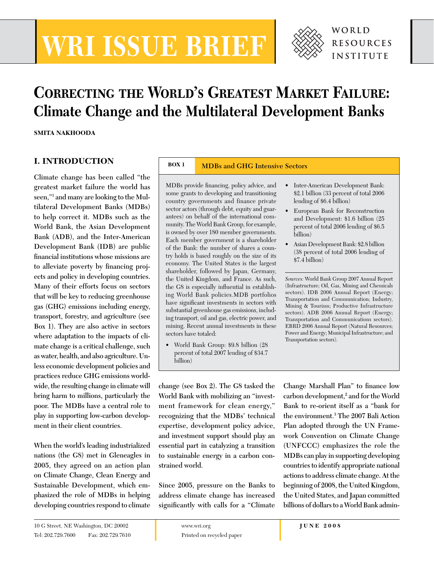# **WRI ISSUE BRIEF**



## **Correcting the World's Greatest Market Failure: Climate Change and the Multilateral Development Banks**

**SMITA NAKHOODA**

### **I. INTRODUCTION**

**Climate change has been called "the greatest market failure the world has seen,"1 and many are looking to the Multilateral Development Banks (MDBs) to help correct it. MDBs such as the World Bank, the Asian Development Bank (ADB), and the Inter-American Development Bank (IDB) are public fi nancial institutions whose missions are**  to alleviate poverty by financing proj**ects and policy in developing countries. Many of their efforts focus on sectors that will be key to reducing greenhouse gas (GHG) emissions including energy, transport, forestry, and agriculture (see Box 1). They are also active in sectors where adaptation to the impacts of climate change is a critical challenge, such as water, health, and also agriculture. Unless economic development policies and practices reduce GHG emissions worldwide, the resulting change in climate will bring harm to millions, particularly the poor. The MDBs have a central role to play in supporting low-carbon development in their client countries.** 

**When the world's leading industrialized nations (the G8) met in Gleneagles in 2005, they agreed on an action plan on Climate Change, Clean Energy and Sustainable Development, which emphasized the role of MDBs in helping developing countries respond to climate** 

#### **BOX 1 MDBs and GHG Intensive Sectors**

MDBs provide financing, policy advice, and some grants to developing and transitioning country governments and finance private sector actors (through debt, equity and guarantees) on behalf of the international community. The World Bank Group, for example, is owned by over 180 member governments. Each member government is a shareholder of the Bank: the number of shares a country holds is based roughly on the size of its economy. The United States is the largest shareholder, followed by Japan, Germany, the United Kingdom, and France. As such, the G8 is especially influential in establishing World Bank policies.MDB portfolios have significant investments in sectors with substantial greenhouse gas emissions, including transport, oil and gas, electric power, and mining. Recent annual investments in these sectors have totaled:

• World Bank Group: \$9.8 billion (28 percent of total 2007 lending of \$34.7 billion)

• Inter-American Development Bank: \$2.1 billion (33 percent of total 2006 lending of \$6.4 billion)

- European Bank for Reconstruction and Development: \$1.6 billion (25 percent of total 2006 lending of \$6.5 billion)
- Asian Development Bank: \$2.8 billion (38 percent of total 2006 lending of \$7.4 billion)

*Sources:* World Bank Group 2007 Annual Report (Infrastructure; Oil, Gas, Mining and Chemicals sectors). IDB 2006 Annual Report (Energy; Transportation and Communication; Industry, Mining & Tourism; Productive Infrastructure sectors). ADB 2006 Annual Report (Energy; Transportation and Communications sectors). EBRD 2006 Annual Report (Natural Resources; Power and Energy; Municipal Infrastructure; and Transportation sectors).

**change (see Box 2). The G8 tasked the World Bank with mobilizing an "investment framework for clean energy," recognizing that the MDBs' technical expertise, development policy advice, and investment support should play an essential part in catalyzing a transition to sustainable energy in a carbon constrained world.** 

**Since 2005, pressure on the Banks to address climate change has increased**  significantly with calls for a "Climate"

**Change Marshall Plan"** to finance low **carbon development,2 and for the World Bank to re-orient itself as a "bank for the environment.3 The 2007 Bali Action Plan adopted through the UN Framework Convention on Climate Change (UNFCCC) emphasizes the role the MDBs can play in supporting developing countries to identify appropriate national actions to address climate change. At the beginning of 2008, the United Kingdom, the United States, and Japan committed billions of dollars to a World Bank admin-**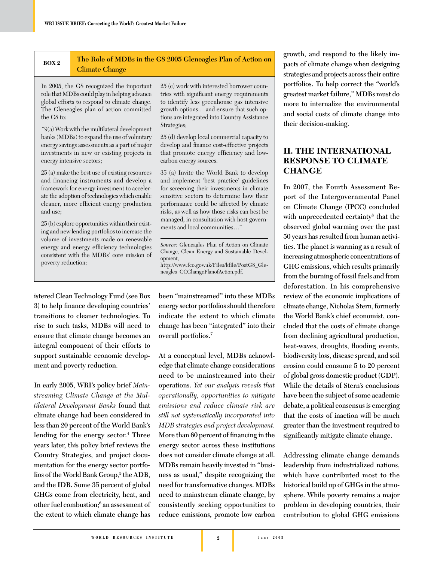#### **BOX 2**

#### **The Role of MDBs in the G8 2005 Gleneagles Plan of Action on Climate Change**

In 2005, the G8 recognized the important role that MDBs could play in helping advance global efforts to respond to climate change. The Gleneagles plan of action committed the G8 to:

 "9(a) Work with the multilateral development banks (MDBs) to expand the use of voluntary energy savings assessments as a part of major investments in new or existing projects in energy intensive sectors;

25 (a) make the best use of existing resources and financing instruments and develop a framework for energy investment to accelerate the adoption of technologies which enable cleaner, more efficient energy production and use;

25 (b) explore opportunities within their existing and new lending portfolios to increase the volume of investments made on renewable energy and energy efficiency technologies consistent with the MDBs' core mission of poverty reduction;

**istered Clean Technology Fund (see Box**  3) to help finance developing countries' **transitions to cleaner technologies. To rise to such tasks, MDBs will need to ensure that climate change becomes an integral component of their efforts to support sustainable economic development and poverty reduction.**

**In early 2005, WRI's policy brief** *Mainstreaming Climate Change at the Multilateral Development Banks* **found that climate change had been considered in less than 20 percent of the World Bank's lending for the energy sector.4 Three years later, this policy brief reviews the Country Strategies, and project documentation for the energy sector portfolios of the World Bank Group,5 the ADB, and the IDB. Some 35 percent of global GHGs come from electricity, heat, and other fuel combustion;6 an assessment of the extent to which climate change has** 

25 (c) work with interested borrower countries with significant energy requirements to identify less greenhouse gas intensive growth options… and ensure that such options are integrated into Country Assistance Strategies;

25 (d) develop local commercial capacity to develop and finance cost-effective projects that promote energy efficiency and lowcarbon energy sources.

35 (a) Invite the World Bank to develop and implement 'best practice' guidelines for screening their investments in climate sensitive sectors to determine how their performance could be affected by climate risks, as well as how those risks can best be managed, in consultation with host governments and local communities…"

**been "mainstreamed" into these MDBs energy sector portfolios should therefore indicate the extent to which climate change has been "integrated" into their overall portfolios.7**

**At a conceptual level, MDBs acknowledge that climate change considerations need to be mainstreamed into their operations.** *Yet our analysis reveals that operationally, opportunities to mitigate emissions and reduce climate risk are still not systematically incorporated into MDB strategies and project development.*  More than 60 percent of financing in the **energy sector across these institutions does not consider climate change at all. MDBs remain heavily invested in "business as usual," despite recognizing the need for transformative changes. MDBs need to mainstream climate change, by consistently seeking opportunities to reduce emissions, promote low carbon** 

**growth, and respond to the likely impacts of climate change when designing strategies and projects across their entire portfolios. To help correct the "world's greatest market failure," MDBs must do more to internalize the environmental and social costs of climate change into their decision-making.** 

#### **II. THE INTERNATIONAL RESPONSE TO CLIMATE CHANGE**

**In 2007, the Fourth Assessment Report of the Intergovernmental Panel on Climate Change (IPCC) concluded with unprecedented certainty8 that the observed global warming over the past 50 years has resulted from human activities. The planet is warming as a result of increasing atmospheric concentrations of GHG emissions, which results primarily from the burning of fossil fuels and from deforestation. In his comprehensive review of the economic implications of climate change, Nicholas Stern, formerly the World Bank's chief economist, concluded that the costs of climate change from declining agricultural production,**  heat-waves, droughts, flooding events, **biodiversity loss, disease spread, and soil erosion could consume 5 to 20 percent of global gross domestic product (GDP). While the details of Stern's conclusions have been the subject of some academic debate, a political consensus is emerging that the costs of inaction will be much greater than the investment required to**  significantly mitigate climate change.

**Addressing climate change demands leadership from industrialized nations, which have contributed most to the historical build up of GHGs in the atmosphere. While poverty remains a major problem in developing countries, their contribution to global GHG emissions** 

*Source:* Gleneagles Plan of Action on Climate Change, Clean Energy and Sustainable Development, http://www.fco.gov.uk/Files/kfile/PostG8\_Gleneagles\_CCChangePlanofAction.pdf.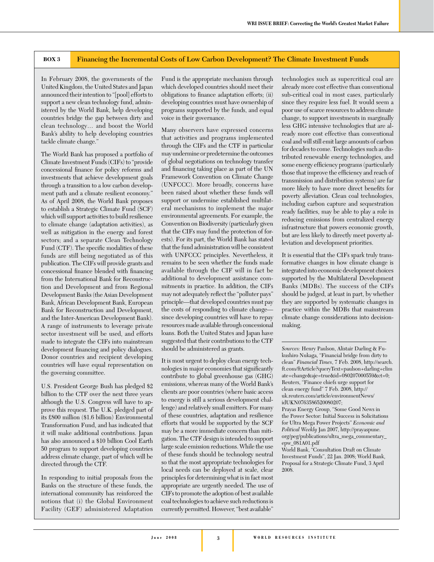#### **BOX 3 Financing the Incremental Costs of Low Carbon Development? The Climate Investment Funds**

In February 2008, the governments of the United Kingdom, the United States and Japan announced their intention to "[pool] efforts to support a new clean technology fund, administered by the World Bank, help developing countries bridge the gap between dirty and clean technology… and boost the World Bank's ability to help developing countries tackle climate change."

The World Bank has proposed a portfolio of Climate Investment Funds (CIFs) to "provide concessional finance for policy reforms and investments that achieve development goals through a transition to a low carbon development path and a climate resilient economy." As of April 2008, the World Bank proposes to establish a Strategic Climate Fund (SCF) which will support activities to build resilience to climate change (adaptation activities), as well as mitigation in the energy and forest sectors; and a separate Clean Technology Fund (CTF). The specific modalities of these funds are still being negotiated as of this publication. The CIFs will provide grants and concessional finance blended with financing from the International Bank for Reconstruction and Development and from Regional Development Banks (the Asian Development Bank, African Development Bank, European Bank for Reconstruction and Development, and the Inter-American Development Bank). A range of instruments to leverage private sector investment will be used, and efforts made to integrate the CIFs into mainstream development financing and policy dialogues. Donor countries and recipient developing countries will have equal representation on the governing committee.

U.S. President George Bush has pledged \$2 billion to the CTF over the next three years although the U.S. Congress will have to approve this request. The U.K. pledged part of its £800 million (\$1.6 billion) Environmental Transformation Fund, and has indicated that it will make additional contributions. Japan has also announced a \$10 billion Cool Earth 50 program to support developing countries address climate change, part of which will be directed through the CTF.

In responding to initial proposals from the Banks on the structure of these funds, the international community has reinforced the notions that (i) the Global Environment Facility (GEF) administered Adaptation

Fund is the appropriate mechanism through which developed countries should meet their obligations to finance adaptation efforts; (ii) developing countries must have ownership of programs supported by the funds, and equal voice in their governance.

Many observers have expressed concerns that activities and programs implemented through the CIFs and the CTF in particular may undermine or predetermine the outcomes of global negotiations on technology transfer and financing taking place as part of the UN Framework Convention on Climate Change (UNFCCC). More broadly, concerns have been raised about whether these funds will support or undermine established multilateral mechanisms to implement the major environmental agreements. For example, the Convention on Biodiversity (particularly given that the CIFs may fund the protection of forests). For its part, the World Bank has stated that the fund administration will be consistent with UNFCCC principles. Nevertheless, it remains to be seen whether the funds made available through the CIF will in fact be additional to development assistance commitments in practice. In addition, the CIFs may not adequately reflect the "polluter pays" principle—that developed countries must pay the costs of responding to climate change since developing countries will have to repay resources made available through concessional loans. Both the United States and Japan have suggested that their contributions to the CTF should be administered as grants.

It is most urgent to deploy clean energy technologies in major economies that significantly contribute to global greenhouse gas (GHG) emissions, whereas many of the World Bank's clients are poor countries (where basic access to energy is still a serious development challenge) and relatively small emitters. For many of these countries, adaptation and resilience efforts that would be supported by the SCF may be a more immediate concern than mitigation. The CTF design is intended to support large scale emission reductions. While the use of these funds should be technology neutral so that the most appropriate technologies for local needs can be deployed at scale, clear principles for determining what is in fact most appropriate are urgently needed. The use of CIFs to promote the adoption of best available coal technologies to achieve such reductions is currently permitted. However, "best available"

technologies such as supercritical coal are already more cost effective than conventional sub-critical coal in most cases, particularly since they require less fuel. It would seem a poor use of scarce resources to address climate change, to support investments in marginally less GHG intensive technologies that are already more cost effective than conventional coal and will still emit large amounts of carbon for decades to come. Technologies such as distributed renewable energy technologies, and some energy efficiency programs (particularly those that improve the efficiency and reach of transmission and distribution systems) are far more likely to have more direct benefits for poverty alleviation. Clean coal technologies, including carbon capture and sequestration ready facilities, may be able to play a role in reducing emissions from centralized energy infrastructure that powers economic growth, but are less likely to directly meet poverty alleviation and development priorities.

It is essential that the CIFs spark truly transformative changes in how climate change is integrated into economic development choices supported by the Multilateral Development Banks (MDBs). The success of the CIFs should be judged, at least in part, by whether they are supported by systematic changes in practice within the MDBs that mainstream climate change considerations into decisionmaking.

*Sources:* Henry Paulson, Alistair Darling & Fukushiro Nukaga, "Financial bridge from dirty to clean" *Financial Times*, 7 Feb. 2008, http://search. ft.com/ftArticle?queryText=paulson+darling+clim ate+change&aje=true&id=080207000559&ct=0; Reuters, "Finance chiefs urge support for clean energy fund" 7 Feb. 2008, http:// uk.reuters.com/article/environmentNews/ idUKN0763586520080207;

Prayas Energy Group, "Some Good News in the Power Sector: Initial Success in Solicitations for Ultra Mega Power Projects" *Economic and Political Weekly* Jan 2007, http://prayaspune. org/peg/publications/ultra\_mega\_commentary\_ epw\_081A01.pdf

World Bank, "Consultation Draft on Climate Investment Funds", 22 Jan. 2008; World Bank, Proposal for a Strategic Climate Fund, 3 April 2008.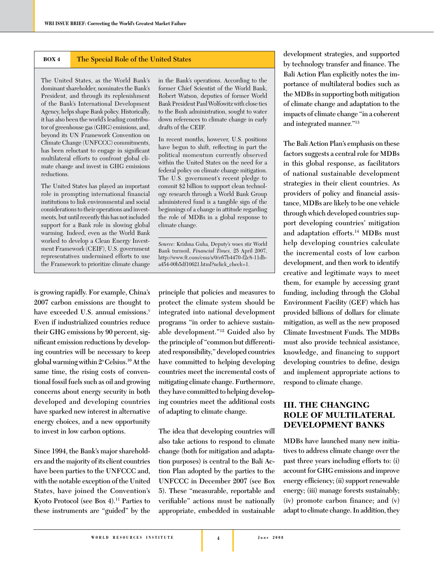#### **BOX 4 The Special Role of the United States**

The United States, as the World Bank's dominant shareholder, nominates the Bank's President, and through its replenishment of the Bank's International Development Agency, helps shape Bank policy. Historically, it has also been the world's leading contributor of greenhouse gas (GHG) emissions, and, beyond its UN Framework Convention on Climate Change (UNFCCC) commitments, has been reluctant to engage in significant multilateral efforts to confront global climate change and invest in GHG emissions reductions.

The United States has played an important role in prompting international financial institutions to link environmental and social considerations to their operations and investments, but until recently this has not included support for a Bank role in slowing global warming. Indeed, even as the World Bank worked to develop a Clean Energy Investment Framework (CEIF), U.S. government representatives undermined efforts to use the Framework to prioritize climate change

**is growing rapidly. For example, China's 2007 carbon emissions are thought to have exceeded U.S. annual emissions.**<sup>9</sup> **Even if industrialized countries reduce their GHG emissions by 90 percent, sig**nificant emission reductions by develop**ing countries will be necessary to keep global warming within 2o Celsius.10 At the same time, the rising costs of conventional fossil fuels such as oil and growing concerns about energy security in both developed and developing countries have sparked new interest in alternative energy choices, and a new opportunity to invest in low carbon options.**

**Since 1994, the Bank's major shareholders and the majority of its client countries have been parties to the UNFCCC and, with the notable exception of the United States, have joined the Convention's Kyoto Protocol (see Box 4).11 Parties to these instruments are "guided" by the** 

in the Bank's operations. According to the former Chief Scientist of the World Bank, Robert Watson, deputies of former World Bank President Paul Wolfowitz with close ties to the Bush administration, sought to water down references to climate change in early drafts of the CEIF.

In recent months, however, U.S. positions have begun to shift, reflecting in part the political momentum currently observed within the United States on the need for a federal policy on climate change mitigation. The U.S. government's recent pledge to commit \$2 billion to support clean technology research through a World Bank Group administered fund is a tangible sign of the beginnings of a change in attitude regarding the role of MDBs in a global response to climate change.

*Source:* Krishna Guha, Deputy's woes stir World Bank turmoil, *Financial Times,* 25 April 2007, http://www.ft.com/cms/s/0/e67b4470-f2c8-11dba454-00b5df10621.html?nclick\_check=1.

**principle that policies and measures to protect the climate system should be integrated into national development programs "in order to achieve sustainable development."12 Guided also by the principle of "common but differentiated responsibility," developed countries have committed to helping developing countries meet the incremental costs of mitigating climate change. Furthermore, they have committed to helping developing countries meet the additional costs of adapting to climate change.** 

**The idea that developing countries will also take actions to respond to climate change (both for mitigation and adaptation purposes) is central to the Bali Action Plan adopted by the parties to the UNFCCC in December 2007 (see Box 5). These "measurable, reportable and**  verifiable" actions must be nationally **appropriate, embedded in sustainable** 

**development strategies, and supported**  by technology transfer and finance. The **Bali Action Plan explicitly notes the importance of multilateral bodies such as the MDBs in supporting both mitigation of climate change and adaptation to the impacts of climate change "in a coherent and integrated manner."13**

**The Bali Action Plan's emphasis on these factors suggests a central role for MDBs in this global response, as facilitators of national sustainable development strategies in their client countries. As**  providers of policy and financial assis**tance, MDBs are likely to be one vehicle through which developed countries support developing countries' mitigation and adaptation efforts.14 MDBs must help developing countries calculate the incremental costs of low carbon development, and then work to identify creative and legitimate ways to meet them, for example by accessing grant funding, including through the Global Environment Facility (GEF) which has provided billions of dollars for climate mitigation, as well as the new proposed Climate Investment Funds. The MDBs must also provide technical assistance, knowledge, and financing to support**  developing countries to define, design **and implement appropriate actions to respond to climate change.** 

#### **III. THE CHANGING ROLE OF MULTILATERAL DEVELOPMENT BANKS**

**MDBs have launched many new initiatives to address climate change over the past three years including efforts to: (i) account for GHG emissions and improve**  energy efficiency; (ii) support renewable **energy; (iii) manage forests sustainably; (iv) promote carbon finance; and (v) adapt to climate change. In addition, they**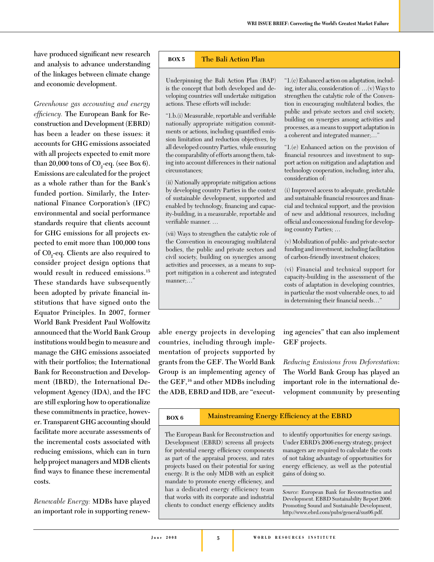have produced significant new research **and analysis to advance understanding of the linkages between climate change and economic development.** 

*Greenhouse gas accounting and energy*  efficiency. The European Bank for Re**construction and Development (EBRD) has been a leader on these issues: it accounts for GHG emissions associated with all projects expected to emit more**  than 20,000 tons of  $CO_2$ -eq. (see Box 6). **Emissions are calculated for the project as a whole rather than for the Bank's funded portion. Similarly, the International Finance Corporation's (IFC) environmental and social performance standards require that clients account for GHG emissions for all projects expected to emit more than 100,000 tons of C02 -eq. Clients are also required to consider project design options that would result in reduced emissions.15 These standards have subsequently**  been adopted by private financial in**stitutions that have signed onto the Equator Principles. In 2007, former World Bank President Paul Wolfowitz announced that the World Bank Group institutions would begin to measure and manage the GHG emissions associated with their portfolios; the International Bank for Reconstruction and Development (IBRD), the International Development Agency (IDA), and the IFC are still exploring how to operationalize these commitments in practice, however. Transparent GHG accounting should facilitate more accurate assessments of the incremental costs associated with reducing emissions, which can in turn help project managers and MDB clients**  find ways to finance these incremental **costs.** 

*Renewable Energy:* **MDBs have played an important role in supporting renew-**

#### **BOX 5 The Bali Action Plan**

Underpinning the Bali Action Plan (BAP) is the concept that both developed and developing countries will undertake mitigation actions. These efforts will include:

"1.b.(i) Measurable, reportable and verifiable nationally appropriate mitigation commitments or actions, including quantified emission limitation and reduction objectives, by all developed country Parties, while ensuring the comparability of efforts among them, taking into account differences in their national circumstances;

(ii) Nationally appropriate mitigation actions by developing country Parties in the context of sustainable development, supported and enabled by technology, financing and capacity-building, in a measurable, reportable and verifiable manner...

(vii) Ways to strengthen the catalytic role of the Convention in encouraging multilateral bodies, the public and private sectors and civil society, building on synergies among activities and processes, as a means to support mitigation in a coherent and integrated manner;…"

"1.(c) Enhanced action on adaptation, including, inter alia, consideration of: …(v) Ways to strengthen the catalytic role of the Convention in encouraging multilateral bodies, the public and private sectors and civil society, building on synergies among activities and processes, as a means to support adaptation in a coherent and integrated manner;…"

"1.(e) Enhanced action on the provision of financial resources and investment to support action on mitigation and adaptation and technology cooperation, including, inter alia, consideration of:

(i) Improved access to adequate, predictable and sustainable financial resources and financial and technical support, and the provision of new and additional resources, including official and concessional funding for developing country Parties; …

(v) Mobilization of public- and private-sector funding and investment, including facilitation of carbon-friendly investment choices;

(vi) Financial and technical support for capacity-building in the assessment of the costs of adaptation in developing countries, in particular the most vulnerable ones, to aid in determining their financial needs..."

**able energy projects in developing countries, including through implementation of projects supported by grants from the GEF. The World Bank Group is an implementing agency of the GEF,16 and other MDBs including the ADB, EBRD and IDB, are "execut-**

**ing agencies" that can also implement GEF projects.** 

*Reducing Emissions from Deforestation***: The World Bank Group has played an important role in the international development community by presenting** 

## **BOX 6 Mainstreaming Energy Efficiency at the EBRD**

The European Bank for Reconstruction and Development (EBRD) screens all projects for potential energy efficiency components as part of the appraisal process, and rates projects based on their potential for saving energy. It is the only MDB with an explicit mandate to promote energy efficiency, and has a dedicated energy efficiency team that works with its corporate and industrial clients to conduct energy efficiency audits

to identify opportunities for energy savings. Under EBRD's 2006 energy strategy, project managers are required to calculate the costs of not taking advantage of opportunities for energy efficiency, as well as the potential gains of doing so.

*Source:* European Bank for Reconstruction and Development. EBRD Sustainability Report 2006: Promoting Sound and Sustainable Development, http://www.ebrd.com/pubs/general/sus06.pdf.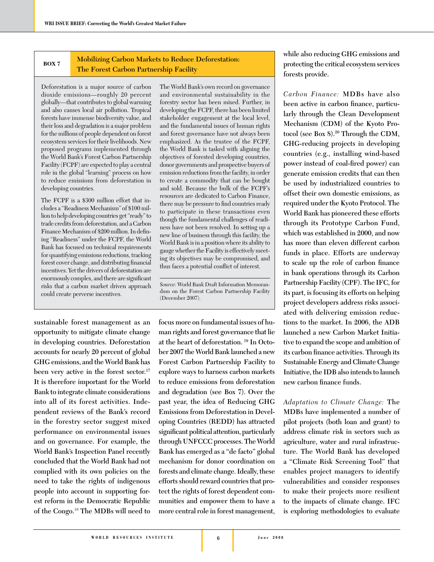#### **BOX 7 Mobilizing Carbon Markets to Reduce Deforestation: The Forest Carbon Partnership Facility**

Deforestation is a major source of carbon dioxide emissions—roughly 20 percent globally—that contributes to global warming and also causes local air pollution. Tropical forests have immense biodiversity value, and their loss and degradation is a major problem for the millions of people dependent on forest ecosystem services for their livelihoods. New proposed programs implemented through the World Bank's Forest Carbon Partnership Facility (FCPF) are expected to play a central role in the global "learning" process on how to reduce emissions from deforestation in developing countries.

The FCPF is a \$300 million effort that includes a "Readiness Mechanism" of \$100 million to help developing countries get "ready" to trade credits from deforestation, and a Carbon Finance Mechanism of \$200 million. In defining "Readiness" under the FCPF, the World Bank has focused on technical requirements for quantifying emissions reductions, tracking forest cover change, and distributing financial incentives. Yet the drivers of deforestation are enormously complex, and there are significant risks that a carbon market driven approach could create perverse incentives.

**sustainable forest management as an opportunity to mitigate climate change in developing countries. Deforestation accounts for nearly 20 percent of global GHG emissions, and the World Bank has been very active in the forest sector.17 It is therefore important for the World Bank to integrate climate considerations into all of its forest activities. Independent reviews of the Bank's record in the forestry sector suggest mixed performance on environmental issues and on governance. For example, the World Bank's Inspection Panel recently concluded that the World Bank had not complied with its own policies on the need to take the rights of indigenous people into account in supporting forest reform in the Democratic Republic of the Congo.**<sup>18</sup> **The MDBs will need to** 

The World Bank's own record on governance and environmental sustainability in the forestry sector has been mixed. Further, in developing the FCPF, there has been limited stakeholder engagement at the local level, and the fundamental issues of human rights and forest governance have not always been emphasized. As the trustee of the FCPF, the World Bank is tasked with aligning the objectives of forested developing countries, donor governments and prospective buyers of emission reductions from the facility, in order to create a commodity that can be bought and sold. Because the bulk of the FCPF's resources are dedicated to Carbon Finance, there may be pressure to find countries ready to participate in these transactions even though the fundamental challenges of readiness have not been resolved. In setting up a new line of business through this facility, the World Bank is in a position where its ability to gauge whether the Facility is effectively meeting its objectives may be compromised, and thus faces a potential conflict of interest.

*Source:* World Bank Draft Information Memorandum on the Forest Carbon Partnership Facility (December 2007).

**focus more on fundamental issues of human rights and forest governance that lie at the heart of deforestation. 19 In October 2007 the World Bank launched a new Forest Carbon Partnership Facility to explore ways to harness carbon markets to reduce emissions from deforestation and degradation (see Box 7). Over the past year, the idea of Reducing GHG Emissions from Deforestation in Developing Countries (REDD) has attracted**   $significant$  political attention, particularly **through UNFCCC processes. The World Bank has emerged as a "de facto" global mechanism for donor coordination on forests and climate change. Ideally, these efforts should reward countries that protect the rights of forest dependent communities and empower them to have a more central role in forest management,** 

**while also reducing GHG emissions and protecting the critical ecosystem services forests provide.**

*Carbon Finance:* **MDBs have also**  been active in carbon finance, particu**larly through the Clean Development Mechanism (CDM) of the Kyoto Protocol (see Box 8).20 Through the CDM, GHG-reducing projects in developing countries (e.g., installing wind-based**  power instead of coal-fired power) can **generate emission credits that can then be used by industrialized countries to offset their own domestic emissions, as required under the Kyoto Protocol. The World Bank has pioneered these efforts through its Prototype Carbon Fund, which was established in 2000, and now has more than eleven different carbon funds in place. Efforts are underway**  to scale up the role of carbon finance **in bank operations through its Carbon Partnership Facility (CPF). The IFC, for its part, is focusing its efforts on helping project developers address risks associated with delivering emission reductions to the market. In 2006, the ADB launched a new Carbon Market Initiative to expand the scope and ambition of**  its carbon finance activities. Through its **Sustainable Energy and Climate Change Initiative, the IDB also intends to launch**  new carbon finance funds.

*Adaptation to Climate Change:* **The MDBs have implemented a number of pilot projects (both loan and grant) to address climate risk in sectors such as agriculture, water and rural infrastructure. The World Bank has developed a "Climate Risk Screening Tool" that enables project managers to identify vulnerabilities and consider responses to make their projects more resilient to the impacts of climate change. IFC is exploring methodologies to evaluate**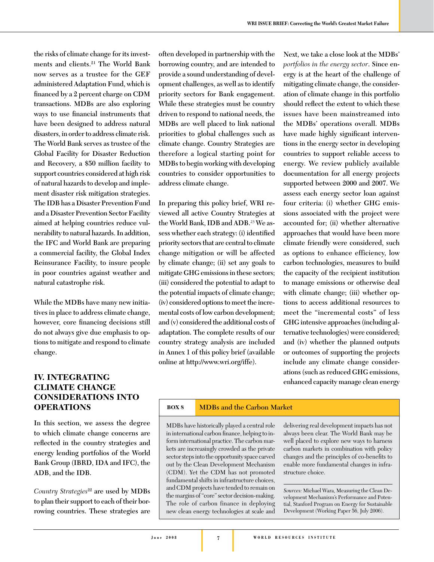**the risks of climate change for its investments and clients.21 The World Bank now serves as a trustee for the GEF administered Adaptation Fund, which is**  financed by a 2 percent charge on CDM **transactions. MDBs are also exploring**  ways to use financial instruments that **have been designed to address natural disasters, in order to address climate risk. The World Bank serves as trustee of the Global Facility for Disaster Reduction and Recovery, a \$50 million facility to support countries considered at high risk of natural hazards to develop and implement disaster risk mitigation strategies. The IDB has a Disaster Prevention Fund and a Disaster Prevention Sector Facility aimed at helping countries reduce vulnerability to natural hazards. In addition, the IFC and World Bank are preparing a commercial facility, the Global Index Reinsurance Facility, to insure people in poor countries against weather and natural catastrophe risk.** 

**While the MDBs have many new initiatives in place to address climate change,**  however, core financing decisions still **do not always give due emphasis to options to mitigate and respond to climate change.** 

#### **IV. INTEGRATING CLIMATE CHANGE CONSIDERATIONS INTO OPERATIONS**

**In this section, we assess the degree to which climate change concerns are**  reflected in the country strategies and **energy lending portfolios of the World Bank Group (IBRD, IDA and IFC), the ADB, and the IDB.**

*Country Strategies***22 are used by MDBs to plan their support to each of their borrowing countries. These strategies are** 

**often developed in partnership with the borrowing country, and are intended to provide a sound understanding of development challenges, as well as to identify priority sectors for Bank engagement. While these strategies must be country driven to respond to national needs, the MDBs are well placed to link national priorities to global challenges such as climate change. Country Strategies are therefore a logical starting point for MDBs to begin working with developing countries to consider opportunities to address climate change.** 

**In preparing this policy brief, WRI reviewed all active Country Strategies at the World Bank, IDB and ADB.**23 **We as**sess whether each strategy: (i) identified **priority sectors that are central to climate change mitigation or will be affected by climate change; (ii) set any goals to mitigate GHG emissions in these sectors; (iii) considered the potential to adapt to the potential impacts of climate change; (iv) considered options to meet the incremental costs of low carbon development; and (v) considered the additional costs of adaptation. The complete results of our country strategy analysis are included in Annex 1 of this policy brief (available online at http://www.wri.org/iffe).**

**Next, we take a close look at the MDBs'** *portfolios in the energy sector***. Since energy is at the heart of the challenge of mitigating climate change, the consideration of climate change in this portfolio**  should reflect the extent to which these **issues have been mainstreamed into the MDBs' operations overall. MDBs**  have made highly significant interven**tions in the energy sector in developing countries to support reliable access to energy. We review publicly available documentation for all energy projects supported between 2000 and 2007. We assess each energy sector loan against four criteria: (i) whether GHG emissions associated with the project were accounted for; (ii) whether alternative approaches that would have been more climate friendly were considered, such as options to enhance efficiency, low carbon technologies, measures to build the capacity of the recipient institution to manage emissions or otherwise deal with climate change; (iii) whether options to access additional resources to meet the "incremental costs" of less GHG intensive approaches (including alternative technologies) were considered; and (iv) whether the planned outputs or outcomes of supporting the projects include any climate change considerations (such as reduced GHG emissions, enhanced capacity manage clean energy** 

#### **BOX 8 MDBs and the Carbon Market**

MDBs have historically played a central role in international carbon finance, helping to inform international practice. The carbon markets are increasingly crowded as the private sector steps into the opportunity space carved out by the Clean Development Mechanism (CDM). Yet the CDM has not promoted fundamental shifts in infrastructure choices, and CDM projects have tended to remain on the margins of "core" sector decision-making. The role of carbon finance in deploying new clean energy technologies at scale and

delivering real development impacts has not always been clear. The World Bank may be well placed to explore new ways to harness carbon markets in combination with policy changes and the principles of co-benefits to enable more fundamental changes in infrastructure choice.

*Sources:* Michael Wara, Measuring the Clean Development Mechanism's Performance and Potential, Stanford Program on Energy for Sustainable Development (Working Paper 56, July 2006).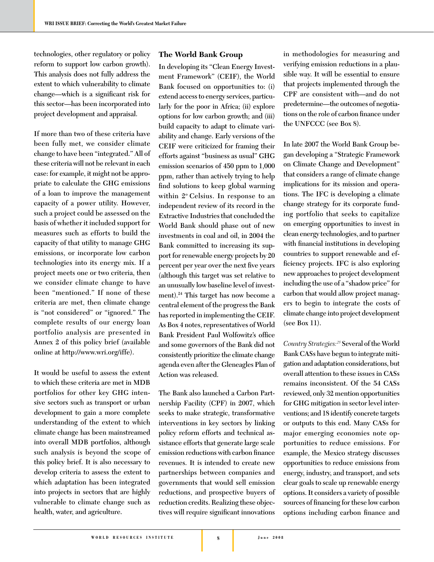**technologies, other regulatory or policy reform to support low carbon growth). This analysis does not fully address the extent to which vulnerability to climate**  change—which is a significant risk for **this sector—has been incorporated into project development and appraisal.** 

**If more than two of these criteria have been fully met, we consider climate change to have been "integrated." All of these criteria will not be relevant in each case: for example, it might not be appropriate to calculate the GHG emissions of a loan to improve the management capacity of a power utility. However, such a project could be assessed on the basis of whether it included support for measures such as efforts to build the capacity of that utility to manage GHG emissions, or incorporate low carbon technologies into its energy mix. If a project meets one or two criteria, then we consider climate change to have been "mentioned." If none of these criteria are met, then climate change is "not considered" or "ignored." The complete results of our energy loan portfolio analysis are presented in Annex 2 of this policy brief (available online at http://www.wri.org/iffe).**

**It would be useful to assess the extent to which these criteria are met in MDB portfolios for other key GHG intensive sectors such as transport or urban development to gain a more complete understanding of the extent to which climate change has been mainstreamed into overall MDB portfolios, although such analysis is beyond the scope of this policy brief. It is also necessary to develop criteria to assess the extent to which adaptation has been integrated into projects in sectors that are highly vulnerable to climate change such as health, water, and agriculture.** 

#### **The World Bank Group**

**In developing its "Clean Energy Investment Framework" (CEIF), the World Bank focused on opportunities to: (i) extend access to energy services, particularly for the poor in Africa; (ii) explore options for low carbon growth; and (iii) build capacity to adapt to climate variability and change. Early versions of the CEIF were criticized for framing their efforts against "business as usual" GHG emission scenarios of 450 ppm to 1,000 ppm, rather than actively trying to help**  find solutions to keep global warming **within 2o Celsius. In response to an independent review of its record in the Extractive Industries that concluded the World Bank should phase out of new investments in coal and oil, in 2004 the Bank committed to increasing its support for renewable energy projects by 20 percent per year over the next five years (although this target was set relative to an unusually low baseline level of investment).24 This target has now become a central element of the progress the Bank has reported in implementing the CEIF. As Box 4 notes, representatives of World Bank President Paul Wolfowitz's office and some governors of the Bank did not consistently prioritize the climate change agenda even after the Gleneagles Plan of Action was released.** 

**The Bank also launched a Carbon Partnership Facility (CPF) in 2007, which seeks to make strategic, transformative interventions in key sectors by linking policy reform efforts and technical assistance efforts that generate large scale**  emission reductions with carbon finance **revenues. It is intended to create new partnerships between companies and governments that would sell emission reductions, and prospective buyers of reduction credits. Realizing these objec**tives will require significant innovations

**in methodologies for measuring and verifying emission reductions in a plausible way. It will be essential to ensure that projects implemented through the CPF are consistent with—and do not predetermine—the outcomes of negotia**tions on the role of carbon finance under **the UNFCCC (see Box 8).** 

**In late 2007 the World Bank Group began developing a "Strategic Framework on Climate Change and Development" that considers a range of climate change implications for its mission and operations. The IFC is developing a climate change strategy for its corporate funding portfolio that seeks to capitalize on emerging opportunities to invest in clean energy technologies, and to partner**  with financial institutions in developing **countries to support renewable and effi ciency projects. IFC is also exploring new approaches to project development including the use of a "shadow price" for carbon that would allow project managers to begin to integrate the costs of climate change into project development (see Box 11).** 

*Country Strategies:<sup>25</sup>* **Several of the World Bank CASs have begun to integrate mitigation and adaptation considerations, but overall attention to these issues in CASs remains inconsistent. Of the 54 CASs reviewed, only 32 mention opportunities for GHG mitigation in sector level interventions; and 18 identify concrete targets or outputs to this end. Many CASs for major emerging economies note opportunities to reduce emissions. For example, the Mexico strategy discusses opportunities to reduce emissions from energy, industry, and transport, and sets clear goals to scale up renewable energy options. It considers a variety of possible**  sources of financing for these low carbon **options including carbon finance and**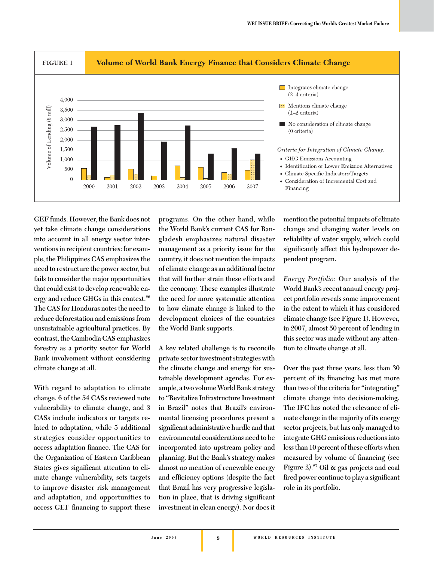

**GEF funds. However, the Bank does not yet take climate change considerations into account in all energy sector interventions in recipient countries: for example, the Philippines CAS emphasizes the need to restructure the power sector, but fails to consider the major opportunities that could exist to develop renewable energy and reduce GHGs in this context.26 The CAS for Honduras notes the need to reduce deforestation and emissions from unsustainable agricultural practices. By contrast, the Cambodia CAS emphasizes forestry as a priority sector for World Bank involvement without considering climate change at all.** 

**With regard to adaptation to climate change, 6 of the 54 CASs reviewed note vulnerability to climate change, and 3 CASs include indicators or targets related to adaptation, while 5 additional strategies consider opportunities to**  access adaptation finance. The CAS for **the Organization of Eastern Caribbean**  States gives significant attention to cli**mate change vulnerability, sets targets to improve disaster risk management and adaptation, and opportunities to**  access GEF financing to support these

**programs. On the other hand, while the World Bank's current CAS for Bangladesh emphasizes natural disaster management as a priority issue for the country, it does not mention the impacts of climate change as an additional factor that will further strain these efforts and the economy. These examples illustrate the need for more systematic attention to how climate change is linked to the development choices of the countries the World Bank supports.** 

**A key related challenge is to reconcile private sector investment strategies with the climate change and energy for sustainable development agendas. For example, a two volume World Bank strategy to "Revitalize Infrastructure Investment in Brazil" notes that Brazil's environmental licensing procedures present a signifi cant administrative hurdle and that environmental considerations need to be incorporated into upstream policy and planning. But the Bank's strategy makes almost no mention of renewable energy**  and efficiency options (despite the fact **that Brazil has very progressive legisla**tion in place, that is driving significant **investment in clean energy). Nor does it** 

**mention the potential impacts of climate change and changing water levels on reliability of water supply, which could**  significantly affect this hydropower de**pendent program.**

*Energy Portfolio:* **Our analysis of the World Bank's recent annual energy project portfolio reveals some improvement in the extent to which it has considered climate change (see Figure 1). However, in 2007, almost 50 percent of lending in this sector was made without any attention to climate change at all.** 

**Over the past three years, less than 30**  percent of its financing has met more **than two of the criteria for "integrating" climate change into decision-making. The IFC has noted the relevance of climate change in the majority of its energy sector projects, but has only managed to integrate GHG emissions reductions into less than 10 percent of these efforts when**  measured by volume of financing (see **Figure 2).27 Oil & gas projects and coal**  fired power continue to play a significant **role in its portfolio.**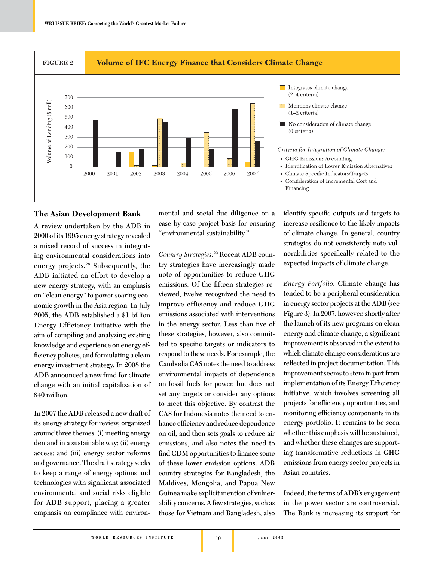

#### **The Asian Development Bank**

**A review undertaken by the ADB in 2000 of its 1995 energy strategy revealed a mixed record of success in integrating environmental considerations into energy projects.**<sup>28</sup> **Subsequently, the ADB initiated an effort to develop a new energy strategy, with an emphasis on "clean energy" to power soaring economic growth in the Asia region. In July 2005, the ADB established a \$1 billion Energy Efficiency Initiative with the aim of compiling and analyzing existing knowledge and experience on energy effi ciency policies, and formulating a clean energy investment strategy. In 2008 the ADB announced a new fund for climate change with an initial capitalization of \$40 million.**

**In 2007 the ADB released a new draft of its energy strategy for review, organized around three themes: (i) meeting energy demand in a sustainable way; (ii) energy access; and (iii) energy sector reforms and governance. The draft strategy seeks to keep a range of energy options and**  technologies with significant associated **environmental and social risks eligible for ADB support, placing a greater emphasis on compliance with environ-**

**mental and social due diligence on a case by case project basis for ensuring "environmental sustainability."** 

*Country Strategies:***29 Recent ADB country strategies have increasingly made note of opportunities to reduce GHG**  emissions. Of the fifteen strategies re**viewed, twelve recognized the need to improve efficiency and reduce GHG emissions associated with interventions**  in the energy sector. Less than five of **these strategies, however, also commit**ted to specific targets or indicators to **respond to these needs. For example, the Cambodia CAS notes the need to address environmental impacts of dependence on fossil fuels for power, but does not set any targets or consider any options to meet this objective. By contrast the CAS for Indonesia notes the need to en**hance efficiency and reduce dependence **on oil, and then sets goals to reduce air emissions, and also notes the need to**  find CDM opportunities to finance some **of these lower emission options. ADB country strategies for Bangladesh, the Maldives, Mongolia, and Papua New Guinea make explicit mention of vulnerability concerns. A few strategies, such as those for Vietnam and Bangladesh, also** 

**identify specific outputs and targets to increase resilience to the likely impacts of climate change. In general, country strategies do not consistently note vul**nerabilities specifically related to the **expected impacts of climate change.** 

*Energy Portfolio:* **Climate change has tended to be a peripheral consideration in energy sector projects at the ADB (see Figure 3). In 2007, however, shortly after the launch of its new programs on clean**  energy and climate change, a significant **improvement is observed in the extent to which climate change considerations are**  reflected in project documentation. This **improvement seems to stem in part from**  implementation of its Energy Efficiency **initiative, which involves screening all**  projects for efficiency opportunities, and monitoring efficiency components in its **energy portfolio. It remains to be seen whether this emphasis will be sustained, and whether these changes are supporting transformative reductions in GHG emissions from energy sector projects in Asian countries.**

**Indeed, the terms of ADB's engagement in the power sector are controversial. The Bank is increasing its support for**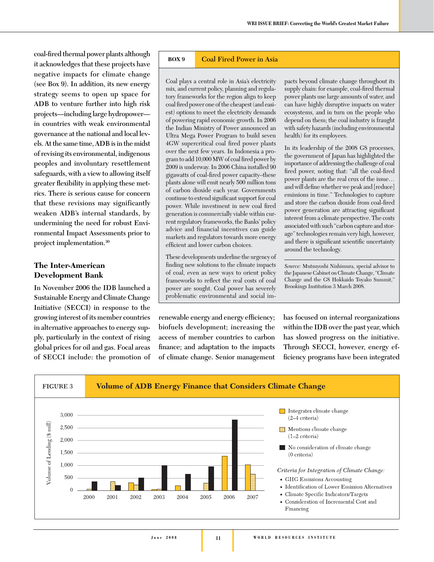**coal-fi red thermal power plants although it acknowledges that these projects have negative impacts for climate change (see Box 9). In addition, its new energy strategy seems to open up space for ADB to venture further into high risk projects—including large hydropower in countries with weak environmental governance at the national and local levels. At the same time, ADB is in the midst of revising its environmental, indigenous peoples and involuntary resettlement safeguards, with a view to allowing itself**  greater flexibility in applying these met**rics. There is serious cause for concern that these revisions may significantly weaken ADB's internal standards, by undermining the need for robust Environmental Impact Assessments prior to project implementation.30**

#### **The Inter-American Development Bank**

**In November 2006 the IDB launched a Sustainable Energy and Climate Change Initiative (SECCI) in response to the growing interest of its member countries in alternative approaches to energy supply, particularly in the context of rising global prices for oil and gas. Focal areas of SECCI include: the promotion of** 

#### **BOX 9 Coal Fired Power in Asia**

Coal plays a central role in Asia's electricity mix, and current policy, planning and regulatory frameworks for the region align to keep coal fired power one of the cheapest (and easiest) options to meet the electricity demands of powering rapid economic growth. In 2006 the Indian Ministry of Power announced an Ultra Mega Power Program to build seven 4GW supercritical coal fired power plants over the next few years. In Indonesia a program to add 10,000 MW of coal fired power by 2009 is underway. In 2006 China installed 90 gigawatts of coal-fired power capacity-these plants alone will emit nearly 500 million tons of carbon dioxide each year. Governments continue to extend significant support for coal power. While investment in new coal fired generation is commercially viable within current regulatory frameworks, the Banks' policy advice and financial incentives can guide markets and regulators towards more energy efficient and lower carbon choices.

These developments underline the urgency of finding new solutions to the climate impacts of coal, even as new ways to orient policy frameworks to reflect the real costs of coal power are sought. Coal power has severely problematic environmental and social im-

renewable energy and energy efficiency; **biofuels development; increasing the access of member countries to carbon**  finance; and adaptation to the impacts **of climate change. Senior management** 

pacts beyond climate change throughout its supply chain: for example, coal-fired thermal power plants use large amounts of water, and can have highly disruptive impacts on water ecosystems, and in turn on the people who depend on them; the coal industry is fraught with safety hazards (including environmental health) for its employees.

In its leadership of the 2008 G8 processes, the government of Japan has highlighted the importance of addressing the challenge of coal fired power, noting that: "all the coal-fired power plants are the real crux of the issue… and will define whether we peak and [reduce] emissions in time." Technologies to capture and store the carbon dioxide from coal-fired power generation are attracting significant interest from a climate perspective. The costs associated with such "carbon capture and storage" technologies remain very high, however, and there is significant scientific uncertainty around the technology.

*Source:* Mutsuyoshi Nishimura, special advisor to the Japanese Cabinet on Climate Change, "Climate Change and the G8 Hokkaido Toyako Summit," Brookings Institution 3 March 2008.

**has focused on internal reorganizations within the IDB over the past year, which has slowed progress on the initiative. Through SECCI, however, energy ef**ficiency programs have been integrated

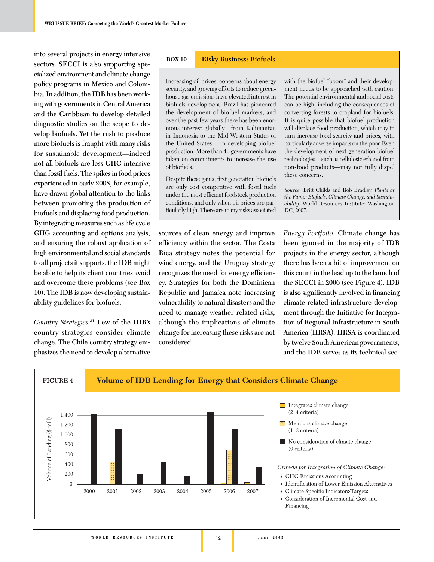**into several projects in energy intensive sectors. SECCI is also supporting specialized environment and climate change policy programs in Mexico and Colombia. In addition, the IDB has been working with governments in Central America and the Caribbean to develop detailed diagnostic studies on the scope to develop biofuels. Yet the rush to produce more biofuels is fraught with many risks for sustainable development—indeed not all biofuels are less GHG intensive than fossil fuels. The spikes in food prices experienced in early 2008, for example, have drawn global attention to the links between promoting the production of biofuels and displacing food production. By integrating measures such as life cycle GHG accounting and options analysis, and ensuring the robust application of high environmental and social standards to all projects it supports, the IDB might be able to help its client countries avoid and overcome these problems (see Box 10). The IDB is now developing sustainability guidelines for biofuels.** 

*Country Strategies:***<sup>31</sup> Few of the IDB's country strategies consider climate change. The Chile country strategy emphasizes the need to develop alternative** 

#### **BOX 10 Risky Business: Biofuels**

Increasing oil prices, concerns about energy security, and growing efforts to reduce greenhouse gas emissions have elevated interest in biofuels development. Brazil has pioneered the development of biofuel markets, and over the past few years there has been enormous interest globally—from Kalimantan in Indonesia to the Mid-Western States of the United States— in developing biofuel production. More than 40 governments have taken on commitments to increase the use of biofuels.

Despite these gains, first generation biofuels are only cost competitive with fossil fuels under the most efficient feedstock production conditions, and only when oil prices are particularly high. There are many risks associated with the biofuel "boom" and their development needs to be approached with caution. The potential environmental and social costs can be high, including the consequences of converting forests to cropland for biofuels. It is quite possible that biofuel production will displace food production, which may in turn increase food scarcity and prices, with particularly adverse impacts on the poor. Even the development of next generation biofuel technologies—such as cellulosic ethanol from non-food products—may not fully dispel these concerns.

*Source:* Britt Childs and Rob Bradley, *Plants at the Pump: Biofuels, Climate Change, and Sustainability,* World Resources Institute: Washington DC, 2007.

**sources of clean energy and improve effi ciency within the sector. The Costa Rica strategy notes the potential for wind energy, and the Uruguay strategy**  recognizes the need for energy efficien**cy. Strategies for both the Dominican Republic and Jamaica note increasing vulnerability to natural disasters and the need to manage weather related risks, although the implications of climate change for increasing these risks are not considered.** 

*Energy Portfolio:* **Climate change has been ignored in the majority of IDB projects in the energy sector, although there has been a bit of improvement on this count in the lead up to the launch of the SECCI in 2006 (see Figure 4). IDB**  is also significantly involved in financing **climate-related infrastructure development through the Initiative for Integration of Regional Infrastructure in South America (IIRSA). IIRSA is coordinated by twelve South American governments, and the IDB serves as its technical sec-**

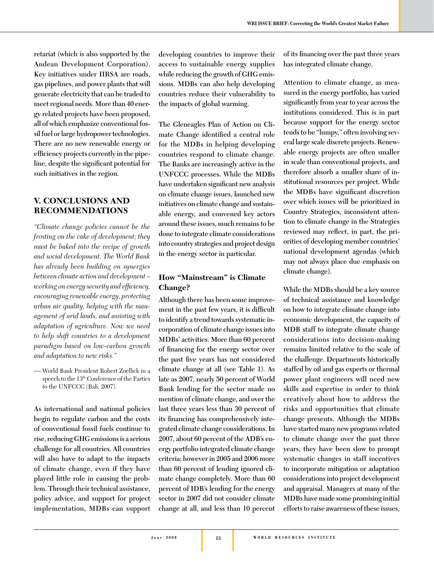**retariat (which is also supported by the Andean Development Corporation). Key initiatives under IIRSA are roads, gas pipelines, and power plants that will generate electricity that can be traded to meet regional needs. More than 40 energy related projects have been proposed, all of which emphasize conventional fossil fuel or large hydropower technologies. There are no new renewable energy or**  efficiency projects currently in the pipeline, despite the significant potential for **such initiatives in the region.**

#### **V. CONCLUSIONS AND RECOMMENDATIONS**

*"Climate change policies cannot be the frosting on the cake of development; they must be baked into the recipe of growth and social development. The World Bank has already been building on synergies between climate action and development – working on energy security and efficiency, encouraging renewable energy, protecting urban air quality, helping with the management of arid lands, and assisting with adaptation of agriculture. Now we need to help shift countries to a development paradigm based on low-carbon growth and adaptation to new risks."* 

— World Bank President Robert Zoellick in a speech to the 13th Conference of the Parties to the UNFCCC (Bali, 2007).

**As international and national policies begin to regulate carbon and the costs of conventional fossil fuels continue to rise, reducing GHG emissions is a serious challenge for all countries. All countries will also have to adapt to the impacts of climate change, even if they have played little role in causing the problem. Through their technical assistance, policy advice, and support for project implementation, MDBs can support** 

**developing countries to improve their access to sustainable energy supplies while reducing the growth of GHG emissions. MDBs can also help developing countries reduce their vulnerability to the impacts of global warming.** 

**The Gleneagles Plan of Action on Cli**mate Change identified a central role **for the MDBs in helping developing countries respond to climate change. The Banks are increasingly active in the UNFCCC processes. While the MDBs**  have undertaken significant new analysis **on climate change issues, launched new initiatives on climate change and sustainable energy, and convened key actors around these issues, much remains to be done to integrate climate considerations into country strategies and project design in the energy sector in particular.** 

### **How "Mainstream" is Climate Change?**

**Although there has been some improve**ment in the past few years, it is difficult **to identify a trend towards systematic incorporation of climate change issues into MDBs' activities. More than 60 percent**  of financing for the energy sector over the past five years has not considered **climate change at all (see Table 1). As late as 2007, nearly 50 percent of World Bank lending for the sector made no mention of climate change, and over the last three years less than 30 percent of**  its financing has comprehensively inte**grated climate change considerations. In 2007, about 60 percent of the ADB's energy portfolio integrated climate change criteria; however in 2005 and 2006 more than 60 percent of lending ignored climate change completely. More than 60 percent of IDB's lending for the energy sector in 2007 did not consider climate change at all, and less than 10 percent** 

of its financing over the past three years **has integrated climate change.** 

**Attention to climate change, as measured in the energy portfolio, has varied signifi cantly from year to year across the institutions considered. This is in part because support for the energy sector tends to be "lumpy," often involving several large scale discrete projects. Renewable energy projects are often smaller in scale than conventional projects, and therefore absorb a smaller share of institutional resources per project. While**  the MDBs have significant discretion **over which issues will be prioritized in Country Strategies, inconsistent attention to climate change in the Strategies**  reviewed may reflect, in part, the pri**orities of developing member countries' national development agendas (which may not always place due emphasis on climate change).** 

**While the MDBs should be a key source of technical assistance and knowledge on how to integrate climate change into economic development, the capacity of MDB staff to integrate climate change considerations into decision-making remains limited relative to the scale of the challenge. Departments historically staffed by oil and gas experts or thermal power plant engineers will need new skills and expertise in order to think creatively about how to address the risks and opportunities that climate change presents. Although the MDBs have started many new programs related to climate change over the past three years, they have been slow to prompt systematic changes in staff incentives to incorporate mitigation or adaptation considerations into project development and appraisal. Managers at many of the MDBs have made some promising initial efforts to raise awareness of these issues,**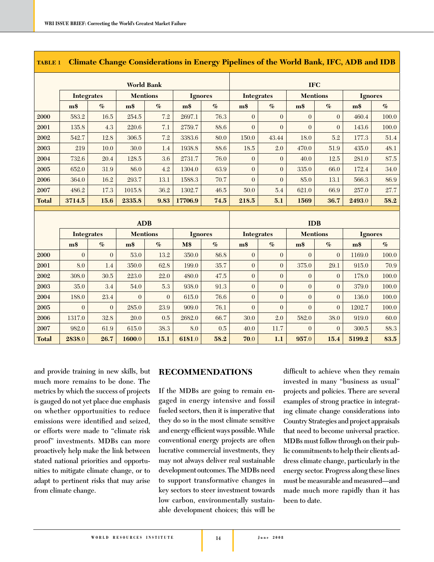|              | <b>World Bank</b> |                |                 |                |                |      |                   | <b>IFC</b>       |                 |                |                |                       |  |
|--------------|-------------------|----------------|-----------------|----------------|----------------|------|-------------------|------------------|-----------------|----------------|----------------|-----------------------|--|
|              | <b>Integrates</b> |                | <b>Mentions</b> |                | <b>Ignores</b> |      | <b>Integrates</b> |                  | <b>Mentions</b> |                | <b>Ignores</b> |                       |  |
|              | $\mathbf{m}$ \$   | $\%$           | m <sub>3</sub>  | $\%$           | m <sub>3</sub> | $\%$ | $\mathbf{m}$ \$   | $\%$             | m <sub>3</sub>  | $\%$           | m\$            | $\mathcal{O}_{\!\!O}$ |  |
| 2000         | 583.2             | 16.5           | 254.5           | 7.2            | 2697.1         | 76.3 | $\theta$          | $\theta$         | $\Omega$        | $\Omega$       | 460.4          | 100.0                 |  |
| 2001         | 135.8             | 4.3            | 220.6           | 7.1            | 2759.7         | 88.6 | $\theta$          | $\theta$         | $\theta$        | $\theta$       | 143.6          | 100.0                 |  |
| 2002         | 542.7             | 12.8           | 306.5           | 7.2            | 3383.6         | 80.0 | 150.0             | 43.44            | 18.0            | 5.2            | 177.3          | 51.4                  |  |
| 2003         | 219               | 10.0           | 30.0            | 1.4            | 1938.8         | 88.6 | 18.5              | 2.0              | 470.0           | 51.9           | 435.0          | 48.1                  |  |
| 2004         | 732.6             | 20.4           | 128.5           | 3.6            | 2731.7         | 76.0 | $\overline{0}$    | $\overline{0}$   | 40.0            | 12.5           | 281.0          | 87.5                  |  |
| 2005         | 652.0             | 31.9           | 86.0            | 4.2            | 1304.0         | 63.9 | $\overline{0}$    | $\boldsymbol{0}$ | 335.0           | 66.0           | 172.4          | 34.0                  |  |
| 2006         | 364.0             | 16.2           | 293.7           | 13.1           | 1588.3         | 70.7 | $\overline{0}$    | $\overline{0}$   | 85.0            | 13.1           | 566.3          | 86.9                  |  |
| 2007         | 486.2             | 17.3           | 1015.8          | 36.2           | 1302.7         | 46.5 | 50.0              | 5.4              | 621.0           | 66.9           | 257.0          | 27.7                  |  |
| <b>Total</b> | 3714.5            | 15.6           | 2335.8          | 9.83           | 17706.9        | 74.5 | 218.5             | 5.1              | 1569            | 36.7           | 2493.0         | 58.2                  |  |
|              |                   |                |                 |                |                |      |                   |                  |                 |                |                |                       |  |
|              |                   |                |                 |                |                |      |                   |                  |                 |                |                |                       |  |
|              |                   |                | <b>ADB</b>      |                |                |      |                   |                  | <b>IDB</b>      |                |                |                       |  |
|              | <b>Integrates</b> |                | <b>Mentions</b> |                | <b>Ignores</b> |      | <b>Integrates</b> |                  | <b>Mentions</b> |                | <b>Ignores</b> |                       |  |
|              | m <sub>3</sub>    | $\%$           | $\mathbf{m}$ \$ | $\%$           | M\$            | $\%$ | m <sub>3</sub>    | $\%$             | m <sub>3</sub>  | $\%$           | m <sub>3</sub> | $\%$                  |  |
| 2000         | $\theta$          | $\Omega$       | 53.0            | 13.2           | 350.0          | 86.8 | $\overline{0}$    | $\overline{0}$   | $\Omega$        | $\Omega$       | 1169.0         | 100.0                 |  |
| 2001         | 8.0               | 1.4            | 350.0           | 62.8           | 199.0          | 35.7 | $\overline{0}$    | $\boldsymbol{0}$ | 375.0           | 29.1           | 915.0          | 70.9                  |  |
| 2002         | 308.0             | 30.5           | 223.0           | 22.0           | 480.0          | 47.5 | $\overline{0}$    | $\overline{0}$   | $\overline{0}$  | $\overline{0}$ | 178.0          | 100.0                 |  |
| 2003         | 35.0              | 3.4            | 54.0            | 5.3            | 938.0          | 91.3 | $\overline{0}$    | $\mathbf 0$      | $\overline{0}$  | $\overline{0}$ | 379.0          | 100.0                 |  |
| 2004         | 188.0             | 23.4           | $\overline{0}$  | $\overline{0}$ | 615.0          | 76.6 | $\overline{0}$    | $\boldsymbol{0}$ | $\overline{0}$  | $\mathbf{0}$   | 136.0          | 100.0                 |  |
| 2005         | $\overline{0}$    | $\overline{0}$ | 285.0           | 23.9           | 909.0          | 76.1 | $\overline{0}$    | $\overline{0}$   | $\theta$        | $\Omega$       | 1202.7         | 100.0                 |  |
| 2006         | 1317.0            | 32.8           | 20.0            | 0.5            | 2682.0         | 66.7 | 30.0              | 2.0              | 582.0           | 38.0           | 919.0          | 60.0                  |  |
| 2007         | 982.0             | 61.9           | 615.0           | 38.3           | 8.0            | 0.5  | 40.0              | 11.7             | $\overline{0}$  | $\theta$       | 300.5          | 88.3                  |  |

#### **TABLE 1 Climate Change Considerations in Energy Pipelines of the World Bank, IFC, ADB and IDB**

**and provide training in new skills, but much more remains to be done. The metrics by which the success of projects is gauged do not yet place due emphasis on whether opportunities to reduce**  emissions were identified and seized, **or efforts were made to "climate risk proof" investments. MDBs can more proactively help make the link between stated national priorities and opportunities to mitigate climate change, or to adapt to pertinent risks that may arise from climate change.**

#### **RECOMMENDATIONS**

**If the MDBs are going to remain engaged in energy intensive and fossil fueled sectors, then it is imperative that they do so in the most climate sensitive**  and energy efficient ways possible. While **conventional energy projects are often lucrative commercial investments, they may not always deliver real sustainable development outcomes. The MDBs need to support transformative changes in key sectors to steer investment towards low carbon, environmentally sustainable development choices; this will be** 

difficult to achieve when they remain **invested in many "business as usual" projects and policies. There are several examples of strong practice in integrating climate change considerations into Country Strategies and project appraisals that need to become universal practice. MDBs must follow through on their public commitments to help their clients address climate change, particularly in the energy sector. Progress along these lines must be measurable and measured—and made much more rapidly than it has been to date.**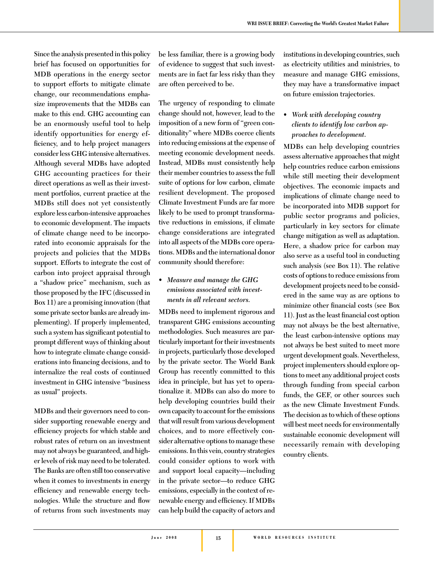**Since the analysis presented in this policy brief has focused on opportunities for MDB operations in the energy sector to support efforts to mitigate climate change, our recommendations emphasize improvements that the MDBs can make to this end. GHG accounting can be an enormously useful tool to help identify opportunities for energy ef**ficiency, and to help project managers **consider less GHG intensive alternatives. Although several MDBs have adopted GHG accounting practices for their direct operations as well as their investment portfolios, current practice at the MDBs still does not yet consistently explore less carbon-intensive approaches to economic development. The impacts of climate change need to be incorporated into economic appraisals for the projects and policies that the MDBs support. Efforts to integrate the cost of carbon into project appraisal through a "shadow price" mechanism, such as those proposed by the IFC (discussed in Box 11) are a promising innovation (that some private sector banks are already implementing). If properly implemented,**  such a system has significant potential to **prompt different ways of thinking about how to integrate climate change consid**erations into financing decisions, and to **internalize the real costs of continued investment in GHG intensive "business as usual" projects.** 

**MDBs and their governors need to consider supporting renewable energy and effi ciency projects for which stable and robust rates of return on an investment may not always be guaranteed, and higher levels of risk may need to be tolerated. The Banks are often still too conservative when it comes to investments in energy**  efficiency and renewable energy technologies. While the structure and flow **of returns from such investments may** 

**be less familiar, there is a growing body of evidence to suggest that such investments are in fact far less risky than they are often perceived to be.** 

**The urgency of responding to climate change should not, however, lead to the imposition of a new form of "green conditionality" where MDBs coerce clients into reducing emissions at the expense of meeting economic development needs. Instead, MDBs must consistently help their member countries to assess the full suite of options for low carbon, climate resilient development. The proposed Climate Investment Funds are far more likely to be used to prompt transformative reductions in emissions, if climate change considerations are integrated into all aspects of the MDBs core operations. MDBs and the international donor community should therefore:** 

#### *• Measure and manage the GHG emissions associated with investments in all relevant sectors.*

**MDBs need to implement rigorous and transparent GHG emissions accounting methodologies. Such measures are particularly important for their investments in projects, particularly those developed by the private sector. The World Bank Group has recently committed to this idea in principle, but has yet to operationalize it. MDBs can also do more to help developing countries build their own capacity to account for the emissions that will result from various development choices, and to more effectively consider alternative options to manage these emissions. In this vein, country strategies could consider options to work with and support local capacity—including in the private sector—to reduce GHG emissions, especially in the context of re**newable energy and efficiency. If MDBs **can help build the capacity of actors and** 

**institutions in developing countries, such as electricity utilities and ministries, to measure and manage GHG emissions, they may have a transformative impact on future emission trajectories.** 

#### *• Work with developing country clients to identify low carbon approaches to development.*

**MDBs can help developing countries assess alternative approaches that might help countries reduce carbon emissions while still meeting their development objectives. The economic impacts and implications of climate change need to be incorporated into MDB support for public sector programs and policies, particularly in key sectors for climate change mitigation as well as adaptation. Here, a shadow price for carbon may also serve as a useful tool in conducting such analysis (see Box 11). The relative costs of options to reduce emissions from development projects need to be considered in the same way as are options to**  minimize other financial costs (see Box 11). Just as the least financial cost option **may not always be the best alternative, the least carbon-intensive options may not always be best suited to meet more urgent development goals. Nevertheless, project implementers should explore options to meet any additional project costs through funding from special carbon funds, the GEF, or other sources such as the new Climate Investment Funds. The decision as to which of these options will best meet needs for environmentally sustainable economic development will necessarily remain with developing country clients.**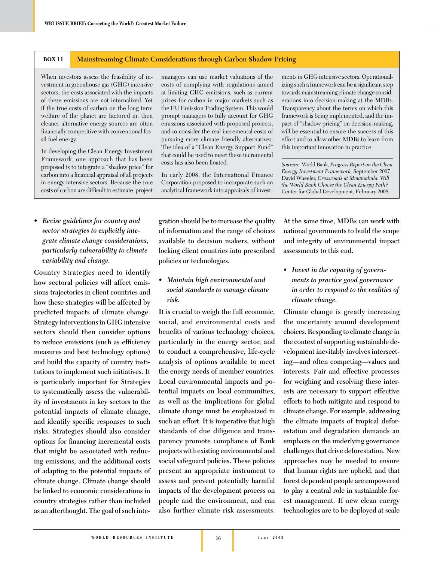#### **BOX 11 Mainstreaming Climate Considerations through Carbon Shadow Pricing**

When investors assess the feasibility of investment in greenhouse gas (GHG) intensive sectors, the costs associated with the impacts of these emissions are not internalized. Yet if the true costs of carbon on the long term welfare of the planet are factored in, then cleaner alternative energy sources are often financially competitive with conventional fossil fuel energy.

In developing the Clean Energy Investment Framework, one approach that has been proposed is to integrate a "shadow price" for carbon into a financial appraisal of all projects in energy intensive sectors. Because the true costs of carbon are difficult to estimate, project

*• Revise guidelines for country and sector strategies to explicitly integrate climate change considerations, particularly vulnerability to climate variability and change.*

**Country Strategies need to identify how sectoral policies will affect emissions trajectories in client countries and how these strategies will be affected by predicted impacts of climate change. Strategy interventions in GHG intensive sectors should then consider options**  to reduce emissions (such as efficiency **measures and best technology options) and build the capacity of country institutions to implement such initiatives. It is particularly important for Strategies to systematically assess the vulnerability of investments in key sectors to the potential impacts of climate change,**  and identify specific responses to such **risks. Strategies should also consider**  options for financing incremental costs **that might be associated with reducing emissions, and the additional costs of adapting to the potential impacts of climate change. Climate change should be linked to economic considerations in country strategies rather than included as an afterthought. The goal of such inte-** managers can use market valuations of the costs of complying with regulations aimed at limiting GHG emissions, such as current prices for carbon in major markets such as the EU Emission Trading System. This would prompt managers to fully account for GHG emissions associated with proposed projects, and to consider the real incremental costs of pursuing more climate friendly alternatives. The idea of a "Clean Energy Support Fund" that could be used to meet these incremental costs has also been floated.

In early 2008, the International Finance Corporation proposed to incorporate such an analytical framework into appraisals of invest-

ments in GHG intensive sectors. Operationalizing such a framework can be a significant step towards mainstreaming climate change considerations into decision-making at the MDBs. Transparency about the terms on which this framework is being implemented, and the impact of "shadow pricing" on decision-making, will be essential to ensure the success of this effort and to allow other MDBs to learn from this important innovation in practice.

*Sources:* World Bank, *Progress Report on the Clean Energy Investment Framework,* September 2007. David Wheeler, *Crossroads at Mmamabula: Will the World Bank Choose the Clean Energy Path?*  Center for Global Development, February 2008.

**gration should be to increase the quality of information and the range of choices available to decision makers, without locking client countries into prescribed policies or technologies.** 

#### *• Maintain high environmental and social standards to manage climate risk.*

**It is crucial to weigh the full economic, social, and environmental costs and**  benefits of various technology choices, **particularly in the energy sector, and to conduct a comprehensive, life-cycle analysis of options available to meet the energy needs of member countries. Local environmental impacts and potential impacts on local communities, as well as the implications for global climate change must be emphasized in such an effort. It is imperative that high standards of due diligence and transparency promote compliance of Bank projects with existing environmental and social safeguard policies. These policies present an appropriate instrument to assess and prevent potentially harmful impacts of the development process on people and the environment, and can also further climate risk assessments.** 

**At the same time, MDBs can work with national governments to build the scope and integrity of environmental impact assessments to this end.** 

*• Invest in the capacity of governments to practice good governance in order to respond to the realities of climate change.*

**Climate change is greatly increasing the uncertainty around development choices. Responding to climate change in the context of supporting sustainable development inevitably involves intersecting—and often competing—values and interests. Fair and effective processes for weighing and resolving these interests are necessary to support effective efforts to both mitigate and respond to climate change. For example, addressing the climate impacts of tropical deforestation and degradation demands an emphasis on the underlying governance challenges that drive deforestation. New approaches may be needed to ensure that human rights are upheld, and that forest dependent people are empowered to play a central role in sustainable forest management. If new clean energy technologies are to be deployed at scale**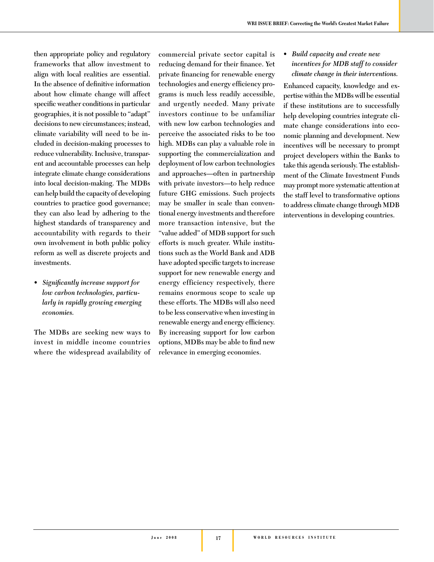**then appropriate policy and regulatory frameworks that allow investment to align with local realities are essential.**  In the absence of definitive information **about how climate change will affect**  specific weather conditions in particular **geographies, it is not possible to "adapt" decisions to new circumstances; instead, climate variability will need to be included in decision-making processes to reduce vulnerability. Inclusive, transparent and accountable processes can help integrate climate change considerations into local decision-making. The MDBs can help build the capacity of developing countries to practice good governance; they can also lead by adhering to the highest standards of transparency and accountability with regards to their own involvement in both public policy reform as well as discrete projects and investments.**

• Significantly increase support for *low carbon technologies, particularly in rapidly growing emerging economies.* 

**The MDBs are seeking new ways to invest in middle income countries where the widespread availability of** 

**commercial private sector capital is**  reducing demand for their finance. Yet private financing for renewable energy technologies and energy efficiency pro**grams is much less readily accessible, and urgently needed. Many private investors continue to be unfamiliar with new low carbon technologies and perceive the associated risks to be too high. MDBs can play a valuable role in supporting the commercialization and deployment of low carbon technologies and approaches—often in partnership with private investors—to help reduce future GHG emissions. Such projects may be smaller in scale than conventional energy investments and therefore more transaction intensive, but the "value added" of MDB support for such efforts is much greater. While institutions such as the World Bank and ADB**  have adopted specific targets to increase **support for new renewable energy and energy efficiency respectively, there remains enormous scope to scale up these efforts. The MDBs will also need to be less conservative when investing in**  renewable energy and energy efficiency. **By increasing support for low carbon options, MDBs may be able to find new relevance in emerging economies.** 

*• Build capacity and create new incentives for MDB staff to consider climate change in their interventions.* 

**Enhanced capacity, knowledge and expertise within the MDBs will be essential if these institutions are to successfully help developing countries integrate climate change considerations into economic planning and development. New incentives will be necessary to prompt project developers within the Banks to take this agenda seriously. The establishment of the Climate Investment Funds may prompt more systematic attention at the staff level to transformative options to address climate change through MDB interventions in developing countries.**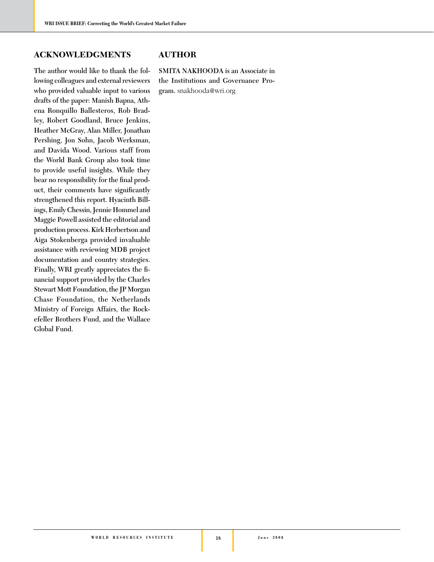#### **ACKNOWLEDGMENTS**

**The author would like to thank the following colleagues and external reviewers who provided valuable input to various drafts of the paper: Manish Bapna, Athena Ronquillo Ballesteros, Rob Bradley, Robert Goodland, Bruce Jenkins, Heather McGray, Alan Miller, Jonathan Pershing, Jon Sohn, Jacob Werksman, and Davida Wood. Various staff from the World Bank Group also took time to provide useful insights. While they**  bear no responsibility for the final product, their comments have significantly **strengthened this report. Hyacinth Billings, Emily Chessin, Jennie Hommel and Maggie Powell assisted the editorial and production process. Kirk Herbertson and Aiga Stokenberga provided invaluable assistance with reviewing MDB project documentation and country strategies.**  Finally, WRI greatly appreciates the fi**nancial support provided by the Charles Stewart Mott Foundation, the JP Morgan Chase Foundation, the Netherlands Ministry of Foreign Affairs, the Rockefeller Brothers Fund, and the Wallace Global Fund.** 

#### **AUTHOR**

**SMITA NAKHOODA is an Associate in the Institutions and Governance Program.** snakhooda@wri.org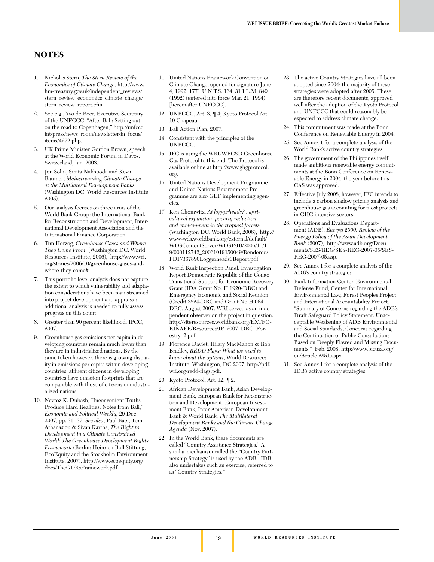#### **NOTES**

- 1. Nicholas Stern, *The Stern Review of the Economics of Climate Change*, http://www. hm-treasury.gov.uk/independent\_reviews/ stern\_review\_economics\_climate\_change/ stern\_review\_report.cfm.
- 2. See e.g., Yvo de Boer, Executive Secretary of the UNFCCC, "After Bali: Setting out on the road to Copenhagen," http://unfccc. int/press/news\_room/newsletter/in\_focus/ items/4272.php.
- 3. UK Prime Minister Gordon Brown, speech at the World Economic Forum in Davos, Switzerland, Jan. 2008.
- 4. Jon Sohn, Smita Nakhooda and Kevin Baumert *Mainstreaming Climate Change at the Multilateral Development Banks* (Washington DC: World Resources Institute, 2005).
- 5. Our analysis focuses on three arms of the World Bank Group: the International Bank for Reconstruction and Development, International Development Association and the International Finance Corporation.
- 6. Tim Herzog, *Greenhouse Gases and Where They Come From*, (Washington DC: World Resources Institute, 2006), http://www.wri. org/stories/2006/10/greenhouse-gases-andwhere-they-come#.
- 7. This portfolio level analysis does not capture the extent to which vulnerability and adaptation considerations have been mainstreamed into project development and appraisal: additional analysis is needed to fully assess progress on this count.
- 8. Greater than 90 percent likelihood. IPCC, 2007.
- 9. Greenhouse gas emissions per capita in developing countries remain much lower than they are in industrialized nations. By the same token however, there is growing disparity in emissions per capita within developing countries: affluent citizens in developing countries have emission footprints that are comparable with those of citizens in industrialized nations.
- 10. Navroz K. Dubash, "Inconvenient Truths Produce Hard Realities: Notes from Bali," *Economic and Political Weekly,* 29 Dec. 2007, pp. 31- 37. *See also*, Paul Baer, Tom Athanasiou & Sivan Kartha, *The Right to Development in a Climate Constrained World: The Greenhouse Development Rights Framework* (Berlin: Heinrich Boll Stiftung, EcoEquity and the Stockholm Environment Institute, 2007), http://www.ecoequity.org/ docs/TheGDRsFramework.pdf.
- 11. United Nations Framework Convention on Climate Change, opened for signature June 4, 1992, 1771 U.N.T.S. 164, 31 I.L.M. 849 (1992) (entered into force Mar. 21, 1994) [hereinafter UNFCCC].
- 12. UNFCCC, Art. 3, ¶ 4; Kyoto Protocol Art. 10 Chapeau.
- 13. Bali Action Plan, 2007.
- 14. Consistent with the principles of the UNFCCC.
- 15. IFC is using the WRI-WBCSD Greenhouse Gas Protocol to this end. The Protocol is available online at http://www.ghgprotocol. org.
- 16. United Nations Development Programme and United Nations Environment Programme are also GEF implementing agencies.
- 17. Ken Chomwitz, *At loggerheads? : agricultural expansion, poverty reduction, and environment in the tropical forests* (Washington DC: World Bank, 2006), http:// www-wds.worldbank.org/external/default/ WDSContentServer/WDSP/IB/2006/10/1 9/000112742\_20061019150049/Rendered/ PDF/367890Loggerheads0Report.pdf.
- 18. World Bank Inspection Panel. Investigation Report Democratic Republic of the Congo Transitional Support for Economic Recovery Grant (IDA Grant No. H 1920-DRC) and Emergency Economic and Social Reunion (Credit 3824-DRC and Grant No H 064 DRC. August 2007. WRI served as an independent observer on the project in question. http://siteresources.worldbank.org/EXTFO-RINAFR/Resources/IP\_2007\_DRC\_Forestry\_2.pdf.
- 19. Florence Daviet, Hilary MacMahon & Rob Bradley, *REDD Flags: What we need to know about the options*, World Resources Institute, Washington, DC 2007, http://pdf. wri.org/redd-flags.pdf.
- 20. Kyoto Protocol, Art. 12, ¶ 2.
- 21. African Development Bank, Asian Development Bank, European Bank for Reconstruction and Development, European Investment Bank, Inter-American Development Bank & World Bank, *The Multilateral Development Banks and the Climate Change Agenda* (Nov. 2007).
- 22. In the World Bank, these documents are called "Country Assistance Strategies." A similar mechanism called the "Country Partnership Strategy" is used by the ADB. IDB also undertakes such an exercise, referred to as "Country Strategies."
- 23. The active Country Strategies have all been adopted since 2004; the majority of these strategies were adopted after 2005. These are therefore recent documents, approved well after the adoption of the Kyoto Protocol and UNFCCC that could reasonably be expected to address climate change.
- 24. This commitment was made at the Bonn Conference on Renewable Energy in 2004.
- 25. See Annex 1 for a complete analysis of the World Bank's active country strategies.
- 26. The government of the Philippines itself made ambitious renewable energy commitments at the Bonn Conference on Renewable Energy in 2004, the year before this CAS was approved.
- 27. Effective July 2008, however, IFC intends to include a carbon shadow pricing analysis and greenhouse gas accounting for most projects in GHG intensive sectors.
- 28. Operations and Evaluations Department (ADB), *Energy 2000: Review of the Energy Policy of the Asian Development Bank* (2007), http://www.adb.org/Documents/SES/REG/SES-REG-2007-05/SES-REG-2007-05.asp.
- 29. See Annex 1 for a complete analysis of the ADB's country strategies.
- 30. Bank Information Center, Environmental Defense Fund, Center for International Environmental Law, Forest Peoples Project, and International Accountability Project, "Summary of Concerns regarding the ADB's Draft Safeguard Policy Statement: Unacceptable Weakening of ADB Environmental and Social Standards; Concerns regarding the Continuation of Public Consultations Based on Deeply Flawed and Missing Documents," Feb. 2008, http://www.bicusa.org/ en/Article.2851.aspx.
- 31. See Annex 1 for a complete analysis of the IDB's active country strategies.